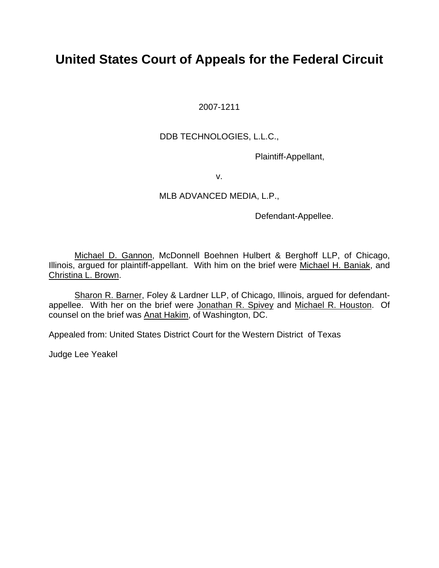# **United States Court of Appeals for the Federal Circuit**

2007-1211

# DDB TECHNOLOGIES, L.L.C.,

Plaintiff-Appellant,

v.

## MLB ADVANCED MEDIA, L.P.,

Defendant-Appellee.

Michael D. Gannon, McDonnell Boehnen Hulbert & Berghoff LLP, of Chicago, Illinois, argued for plaintiff-appellant. With him on the brief were Michael H. Baniak, and Christina L. Brown.

 Sharon R. Barner, Foley & Lardner LLP, of Chicago, Illinois, argued for defendantappellee. With her on the brief were Jonathan R. Spivey and Michael R. Houston. Of counsel on the brief was Anat Hakim, of Washington, DC.

Appealed from: United States District Court for the Western District of Texas

Judge Lee Yeakel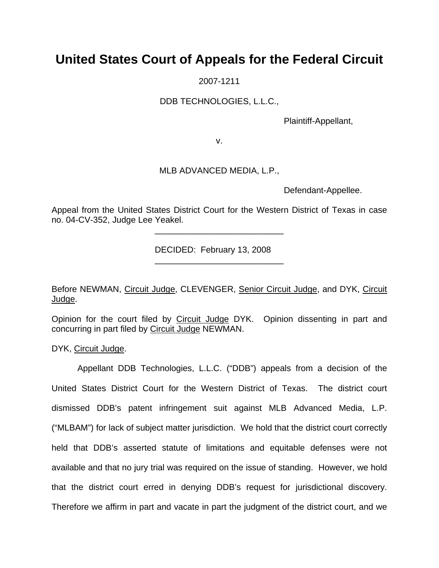# **United States Court of Appeals for the Federal Circuit**

2007-1211

DDB TECHNOLOGIES, L.L.C.,

Plaintiff-Appellant,

v.

### MLB ADVANCED MEDIA, L.P.,

Defendant-Appellee.

Appeal from the United States District Court for the Western District of Texas in case no. 04-CV-352, Judge Lee Yeakel.

DECIDED: February 13, 2008

 $\frac{1}{2}$  ,  $\frac{1}{2}$  ,  $\frac{1}{2}$  ,  $\frac{1}{2}$  ,  $\frac{1}{2}$  ,  $\frac{1}{2}$  ,  $\frac{1}{2}$  ,  $\frac{1}{2}$  ,  $\frac{1}{2}$  ,  $\frac{1}{2}$  ,  $\frac{1}{2}$  ,  $\frac{1}{2}$  ,  $\frac{1}{2}$  ,  $\frac{1}{2}$  ,  $\frac{1}{2}$  ,  $\frac{1}{2}$  ,  $\frac{1}{2}$  ,  $\frac{1}{2}$  ,  $\frac{1$ 

 $\frac{1}{\sqrt{2}}$  ,  $\frac{1}{\sqrt{2}}$  ,  $\frac{1}{\sqrt{2}}$  ,  $\frac{1}{\sqrt{2}}$  ,  $\frac{1}{\sqrt{2}}$  ,  $\frac{1}{\sqrt{2}}$  ,  $\frac{1}{\sqrt{2}}$  ,  $\frac{1}{\sqrt{2}}$  ,  $\frac{1}{\sqrt{2}}$  ,  $\frac{1}{\sqrt{2}}$  ,  $\frac{1}{\sqrt{2}}$  ,  $\frac{1}{\sqrt{2}}$  ,  $\frac{1}{\sqrt{2}}$  ,  $\frac{1}{\sqrt{2}}$  ,  $\frac{1}{\sqrt{2}}$ 

Before NEWMAN, Circuit Judge, CLEVENGER, Senior Circuit Judge, and DYK, Circuit Judge.

Opinion for the court filed by Circuit Judge DYK. Opinion dissenting in part and concurring in part filed by Circuit Judge NEWMAN.

DYK, Circuit Judge.

 Appellant DDB Technologies, L.L.C. ("DDB") appeals from a decision of the United States District Court for the Western District of Texas. The district court dismissed DDB's patent infringement suit against MLB Advanced Media, L.P. ("MLBAM") for lack of subject matter jurisdiction. We hold that the district court correctly held that DDB's asserted statute of limitations and equitable defenses were not available and that no jury trial was required on the issue of standing. However, we hold that the district court erred in denying DDB's request for jurisdictional discovery. Therefore we affirm in part and vacate in part the judgment of the district court, and we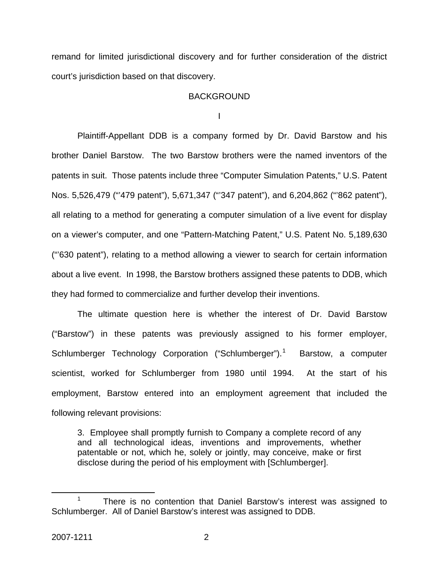remand for limited jurisdictional discovery and for further consideration of the district court's jurisdiction based on that discovery.

### **BACKGROUND**

I

 Plaintiff-Appellant DDB is a company formed by Dr. David Barstow and his brother Daniel Barstow. The two Barstow brothers were the named inventors of the patents in suit. Those patents include three "Computer Simulation Patents," U.S. Patent Nos. 5,526,479 ("'479 patent"), 5,671,347 ("'347 patent"), and 6,204,862 ("'862 patent"), all relating to a method for generating a computer simulation of a live event for display on a viewer's computer, and one "Pattern-Matching Patent," U.S. Patent No. 5,189,630 ("'630 patent"), relating to a method allowing a viewer to search for certain information about a live event. In 1998, the Barstow brothers assigned these patents to DDB, which they had formed to commercialize and further develop their inventions.

 The ultimate question here is whether the interest of Dr. David Barstow ("Barstow") in these patents was previously assigned to his former employer, Schlumberger Technology Corporation ("Schlumberger").<sup>[1](#page-2-0)</sup> Barstow, a computer scientist, worked for Schlumberger from 1980 until 1994. At the start of his employment, Barstow entered into an employment agreement that included the following relevant provisions:

3. Employee shall promptly furnish to Company a complete record of any and all technological ideas, inventions and improvements, whether patentable or not, which he, solely or jointly, may conceive, make or first disclose during the period of his employment with [Schlumberger].

<span id="page-2-0"></span> <sup>1</sup>  $1$  There is no contention that Daniel Barstow's interest was assigned to Schlumberger. All of Daniel Barstow's interest was assigned to DDB.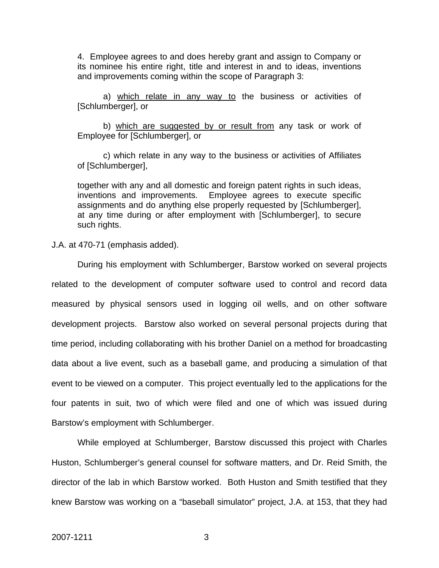4. Employee agrees to and does hereby grant and assign to Company or its nominee his entire right, title and interest in and to ideas, inventions and improvements coming within the scope of Paragraph 3:

 a) which relate in any way to the business or activities of [Schlumberger], or

b) which are suggested by or result from any task or work of Employee for [Schlumberger], or

 c) which relate in any way to the business or activities of Affiliates of [Schlumberger],

together with any and all domestic and foreign patent rights in such ideas, inventions and improvements. Employee agrees to execute specific assignments and do anything else properly requested by [Schlumberger], at any time during or after employment with [Schlumberger], to secure such rights.

J.A. at 470-71 (emphasis added).

 During his employment with Schlumberger, Barstow worked on several projects related to the development of computer software used to control and record data measured by physical sensors used in logging oil wells, and on other software development projects. Barstow also worked on several personal projects during that time period, including collaborating with his brother Daniel on a method for broadcasting data about a live event, such as a baseball game, and producing a simulation of that event to be viewed on a computer. This project eventually led to the applications for the four patents in suit, two of which were filed and one of which was issued during Barstow's employment with Schlumberger.

 While employed at Schlumberger, Barstow discussed this project with Charles Huston, Schlumberger's general counsel for software matters, and Dr. Reid Smith, the director of the lab in which Barstow worked. Both Huston and Smith testified that they knew Barstow was working on a "baseball simulator" project, J.A. at 153, that they had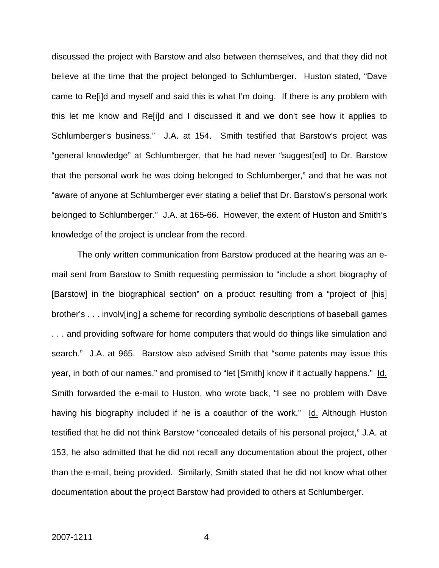discussed the project with Barstow and also between themselves, and that they did not believe at the time that the project belonged to Schlumberger. Huston stated, "Dave came to Re[i]d and myself and said this is what I'm doing. If there is any problem with this let me know and Re[i]d and I discussed it and we don't see how it applies to Schlumberger's business." J.A. at 154. Smith testified that Barstow's project was "general knowledge" at Schlumberger, that he had never "suggest[ed] to Dr. Barstow that the personal work he was doing belonged to Schlumberger," and that he was not "aware of anyone at Schlumberger ever stating a belief that Dr. Barstow's personal work belonged to Schlumberger." J.A. at 165-66. However, the extent of Huston and Smith's knowledge of the project is unclear from the record.

 The only written communication from Barstow produced at the hearing was an email sent from Barstow to Smith requesting permission to "include a short biography of [Barstow] in the biographical section" on a product resulting from a "project of [his] brother's . . . involv[ing] a scheme for recording symbolic descriptions of baseball games . . . and providing software for home computers that would do things like simulation and search." J.A. at 965. Barstow also advised Smith that "some patents may issue this year, in both of our names," and promised to "let [Smith] know if it actually happens." Id. Smith forwarded the e-mail to Huston, who wrote back, "I see no problem with Dave having his biography included if he is a coauthor of the work." Id. Although Huston testified that he did not think Barstow "concealed details of his personal project," J.A. at 153, he also admitted that he did not recall any documentation about the project, other than the e-mail, being provided. Similarly, Smith stated that he did not know what other documentation about the project Barstow had provided to others at Schlumberger.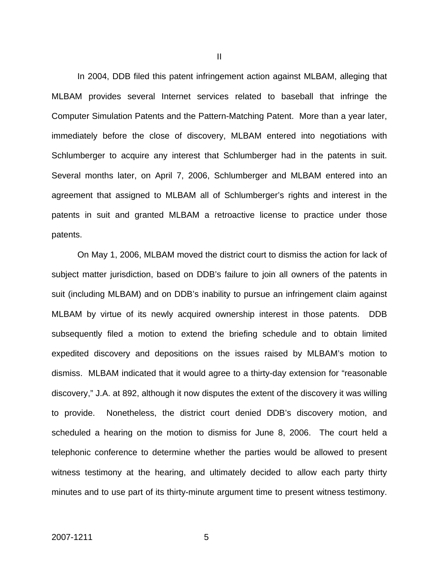In 2004, DDB filed this patent infringement action against MLBAM, alleging that MLBAM provides several Internet services related to baseball that infringe the Computer Simulation Patents and the Pattern-Matching Patent. More than a year later, immediately before the close of discovery, MLBAM entered into negotiations with Schlumberger to acquire any interest that Schlumberger had in the patents in suit. Several months later, on April 7, 2006, Schlumberger and MLBAM entered into an agreement that assigned to MLBAM all of Schlumberger's rights and interest in the patents in suit and granted MLBAM a retroactive license to practice under those patents.

 On May 1, 2006, MLBAM moved the district court to dismiss the action for lack of subject matter jurisdiction, based on DDB's failure to join all owners of the patents in suit (including MLBAM) and on DDB's inability to pursue an infringement claim against MLBAM by virtue of its newly acquired ownership interest in those patents. DDB subsequently filed a motion to extend the briefing schedule and to obtain limited expedited discovery and depositions on the issues raised by MLBAM's motion to dismiss. MLBAM indicated that it would agree to a thirty-day extension for "reasonable discovery," J.A. at 892, although it now disputes the extent of the discovery it was willing to provide. Nonetheless, the district court denied DDB's discovery motion, and scheduled a hearing on the motion to dismiss for June 8, 2006. The court held a telephonic conference to determine whether the parties would be allowed to present witness testimony at the hearing, and ultimately decided to allow each party thirty minutes and to use part of its thirty-minute argument time to present witness testimony.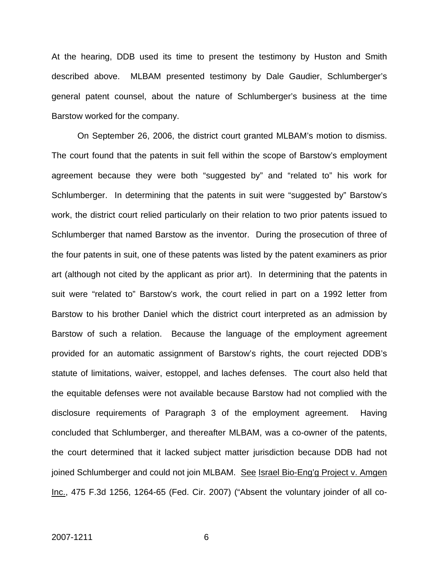At the hearing, DDB used its time to present the testimony by Huston and Smith described above. MLBAM presented testimony by Dale Gaudier, Schlumberger's general patent counsel, about the nature of Schlumberger's business at the time Barstow worked for the company.

 On September 26, 2006, the district court granted MLBAM's motion to dismiss. The court found that the patents in suit fell within the scope of Barstow's employment agreement because they were both "suggested by" and "related to" his work for Schlumberger. In determining that the patents in suit were "suggested by" Barstow's work, the district court relied particularly on their relation to two prior patents issued to Schlumberger that named Barstow as the inventor. During the prosecution of three of the four patents in suit, one of these patents was listed by the patent examiners as prior art (although not cited by the applicant as prior art). In determining that the patents in suit were "related to" Barstow's work, the court relied in part on a 1992 letter from Barstow to his brother Daniel which the district court interpreted as an admission by Barstow of such a relation. Because the language of the employment agreement provided for an automatic assignment of Barstow's rights, the court rejected DDB's statute of limitations, waiver, estoppel, and laches defenses. The court also held that the equitable defenses were not available because Barstow had not complied with the disclosure requirements of Paragraph 3 of the employment agreement. Having concluded that Schlumberger, and thereafter MLBAM, was a co-owner of the patents, the court determined that it lacked subject matter jurisdiction because DDB had not joined Schlumberger and could not join MLBAM. See Israel Bio-Eng'g Project v. Amgen Inc., 475 F.3d 1256, 1264-65 (Fed. Cir. 2007) ("Absent the voluntary joinder of all co-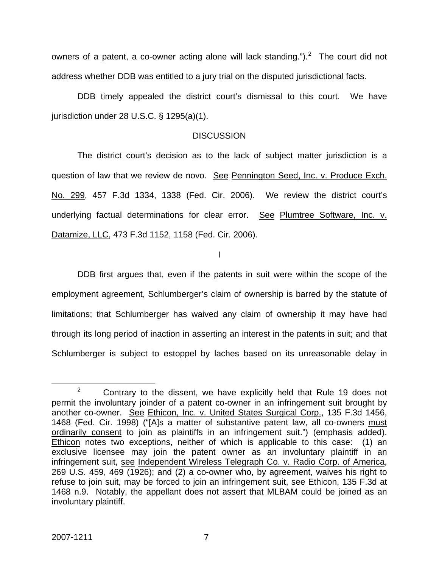owners of a patent, a co-owner acting alone will lack standing.").<sup>[2](#page-7-0)</sup> The court did not address whether DDB was entitled to a jury trial on the disputed jurisdictional facts.

 DDB timely appealed the district court's dismissal to this court. We have jurisdiction under 28 U.S.C. § 1295(a)(1).

### **DISCUSSION**

 The district court's decision as to the lack of subject matter jurisdiction is a question of law that we review de novo. See Pennington Seed, Inc. v. Produce Exch. No. 299, 457 F.3d 1334, 1338 (Fed. Cir. 2006). We review the district court's underlying factual determinations for clear error. See Plumtree Software, Inc. v. Datamize, LLC, 473 F.3d 1152, 1158 (Fed. Cir. 2006).

I

 DDB first argues that, even if the patents in suit were within the scope of the employment agreement, Schlumberger's claim of ownership is barred by the statute of limitations; that Schlumberger has waived any claim of ownership it may have had through its long period of inaction in asserting an interest in the patents in suit; and that Schlumberger is subject to estoppel by laches based on its unreasonable delay in

<span id="page-7-0"></span> $\frac{1}{2}$  $2^2$  Contrary to the dissent, we have explicitly held that Rule 19 does not permit the involuntary joinder of a patent co-owner in an infringement suit brought by another co-owner. See Ethicon, Inc. v. United States Surgical Corp., 135 F.3d 1456, 1468 (Fed. Cir. 1998) ("[A]s a matter of substantive patent law, all co-owners must ordinarily consent to join as plaintiffs in an infringement suit.") (emphasis added). Ethicon notes two exceptions, neither of which is applicable to this case: (1) an exclusive licensee may join the patent owner as an involuntary plaintiff in an infringement suit, see Independent Wireless Telegraph Co. v. Radio Corp. of America, 269 U.S. 459, 469 (1926); and (2) a co-owner who, by agreement, waives his right to refuse to join suit, may be forced to join an infringement suit, see Ethicon, 135 F.3d at 1468 n.9. Notably, the appellant does not assert that MLBAM could be joined as an involuntary plaintiff.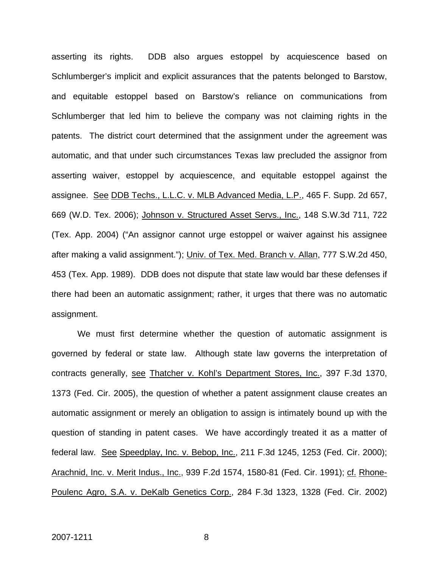asserting its rights. DDB also argues estoppel by acquiescence based on Schlumberger's implicit and explicit assurances that the patents belonged to Barstow, and equitable estoppel based on Barstow's reliance on communications from Schlumberger that led him to believe the company was not claiming rights in the patents. The district court determined that the assignment under the agreement was automatic, and that under such circumstances Texas law precluded the assignor from asserting waiver, estoppel by acquiescence, and equitable estoppel against the assignee. See DDB Techs., L.L.C. v. MLB Advanced Media, L.P., 465 F. Supp. 2d 657, 669 (W.D. Tex. 2006); Johnson v. Structured Asset Servs., Inc., 148 S.W.3d 711, 722 (Tex. App. 2004) ("An assignor cannot urge estoppel or waiver against his assignee after making a valid assignment."); Univ. of Tex. Med. Branch v. Allan, 777 S.W.2d 450, 453 (Tex. App. 1989). DDB does not dispute that state law would bar these defenses if there had been an automatic assignment; rather, it urges that there was no automatic assignment.

 We must first determine whether the question of automatic assignment is governed by federal or state law. Although state law governs the interpretation of contracts generally, see Thatcher v. Kohl's Department Stores, Inc., 397 F.3d 1370, 1373 (Fed. Cir. 2005), the question of whether a patent assignment clause creates an automatic assignment or merely an obligation to assign is intimately bound up with the question of standing in patent cases. We have accordingly treated it as a matter of federal law. See Speedplay, Inc. v. Bebop, Inc., 211 F.3d 1245, 1253 (Fed. Cir. 2000); Arachnid, Inc. v. Merit Indus., Inc., 939 F.2d 1574, 1580-81 (Fed. Cir. 1991); cf. Rhone-Poulenc Agro, S.A. v. DeKalb Genetics Corp., 284 F.3d 1323, 1328 (Fed. Cir. 2002)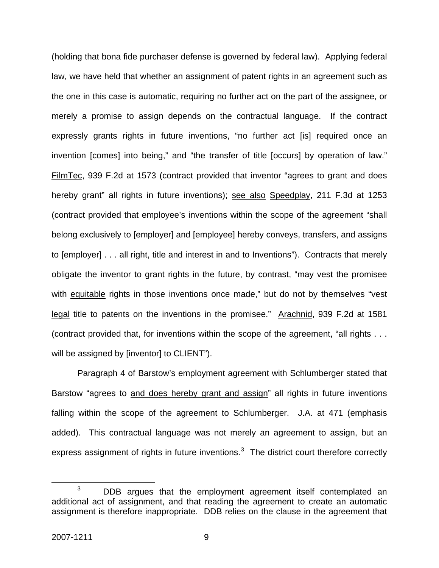(holding that bona fide purchaser defense is governed by federal law). Applying federal law, we have held that whether an assignment of patent rights in an agreement such as the one in this case is automatic, requiring no further act on the part of the assignee, or merely a promise to assign depends on the contractual language. If the contract expressly grants rights in future inventions, "no further act [is] required once an invention [comes] into being," and "the transfer of title [occurs] by operation of law." FilmTec, 939 F.2d at 1573 (contract provided that inventor "agrees to grant and does hereby grant" all rights in future inventions); see also Speedplay, 211 F.3d at 1253 (contract provided that employee's inventions within the scope of the agreement "shall belong exclusively to [employer] and [employee] hereby conveys, transfers, and assigns to [employer] . . . all right, title and interest in and to Inventions"). Contracts that merely obligate the inventor to grant rights in the future, by contrast, "may vest the promisee with equitable rights in those inventions once made," but do not by themselves "vest legal title to patents on the inventions in the promisee." Arachnid, 939 F.2d at 1581 (contract provided that, for inventions within the scope of the agreement, "all rights . . . will be assigned by [inventor] to CLIENT").

 Paragraph 4 of Barstow's employment agreement with Schlumberger stated that Barstow "agrees to and does hereby grant and assign" all rights in future inventions falling within the scope of the agreement to Schlumberger. J.A. at 471 (emphasis added). This contractual language was not merely an agreement to assign, but an express assignment of rights in future inventions.<sup>[3](#page-9-0)</sup> The district court therefore correctly

<span id="page-9-0"></span> $\overline{\phantom{a}}$  3  $3$  DDB argues that the employment agreement itself contemplated an additional act of assignment, and that reading the agreement to create an automatic assignment is therefore inappropriate. DDB relies on the clause in the agreement that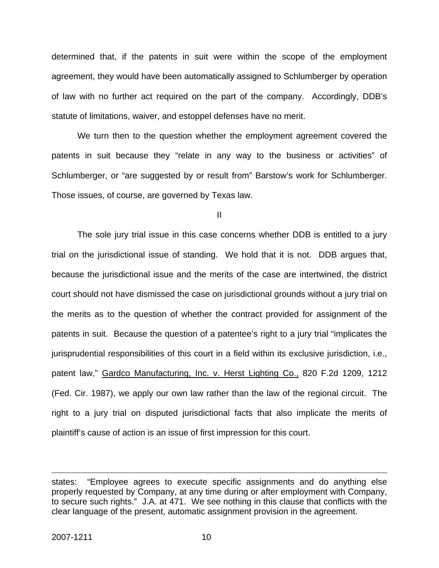determined that, if the patents in suit were within the scope of the employment agreement, they would have been automatically assigned to Schlumberger by operation of law with no further act required on the part of the company. Accordingly, DDB's statute of limitations, waiver, and estoppel defenses have no merit.

 We turn then to the question whether the employment agreement covered the patents in suit because they "relate in any way to the business or activities" of Schlumberger, or "are suggested by or result from" Barstow's work for Schlumberger. Those issues, of course, are governed by Texas law.

II

 The sole jury trial issue in this case concerns whether DDB is entitled to a jury trial on the jurisdictional issue of standing. We hold that it is not. DDB argues that, because the jurisdictional issue and the merits of the case are intertwined, the district court should not have dismissed the case on jurisdictional grounds without a jury trial on the merits as to the question of whether the contract provided for assignment of the patents in suit. Because the question of a patentee's right to a jury trial "implicates the jurisprudential responsibilities of this court in a field within its exclusive jurisdiction, i.e., patent law," Gardco Manufacturing, Inc. v. Herst Lighting Co., 820 F.2d 1209, 1212 (Fed. Cir. 1987), we apply our own law rather than the law of the regional circuit. The right to a jury trial on disputed jurisdictional facts that also implicate the merits of plaintiff's cause of action is an issue of first impression for this court.

 $\overline{a}$ 

states: "Employee agrees to execute specific assignments and do anything else properly requested by Company, at any time during or after employment with Company, to secure such rights." J.A. at 471. We see nothing in this clause that conflicts with the clear language of the present, automatic assignment provision in the agreement.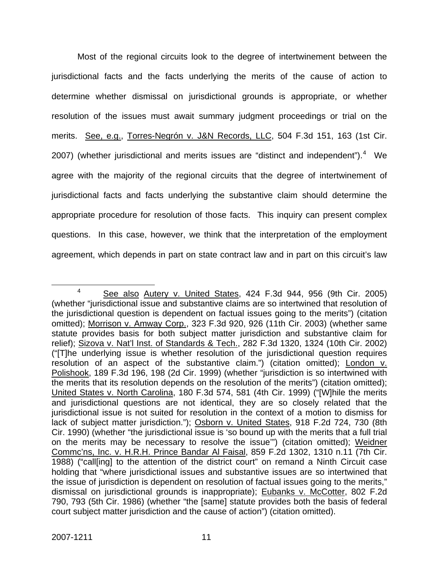Most of the regional circuits look to the degree of intertwinement between the jurisdictional facts and the facts underlying the merits of the cause of action to determine whether dismissal on jurisdictional grounds is appropriate, or whether resolution of the issues must await summary judgment proceedings or trial on the merits. See, e.g., Torres-Negrón v. J&N Records, LLC, 504 F.3d 151, 163 (1st Cir. 2007) (whether jurisdictional and merits issues are "distinct and independent"). $4$  We agree with the majority of the regional circuits that the degree of intertwinement of jurisdictional facts and facts underlying the substantive claim should determine the appropriate procedure for resolution of those facts. This inquiry can present complex questions. In this case, however, we think that the interpretation of the employment agreement, which depends in part on state contract law and in part on this circuit's law

<span id="page-11-0"></span> $\frac{1}{4}$ <sup>4</sup> See also Autery v. United States, 424 F.3d 944, 956 (9th Cir. 2005) (whether "jurisdictional issue and substantive claims are so intertwined that resolution of the jurisdictional question is dependent on factual issues going to the merits") (citation omitted); Morrison v. Amway Corp., 323 F.3d 920, 926 (11th Cir. 2003) (whether same statute provides basis for both subject matter jurisdiction and substantive claim for relief); Sizova v. Nat'l Inst. of Standards & Tech., 282 F.3d 1320, 1324 (10th Cir. 2002) ("[T]he underlying issue is whether resolution of the jurisdictional question requires resolution of an aspect of the substantive claim.") (citation omitted); London v. Polishook, 189 F.3d 196, 198 (2d Cir. 1999) (whether "jurisdiction is so intertwined with the merits that its resolution depends on the resolution of the merits") (citation omitted); United States v. North Carolina, 180 F.3d 574, 581 (4th Cir. 1999) ("[W]hile the merits and jurisdictional questions are not identical, they are so closely related that the jurisdictional issue is not suited for resolution in the context of a motion to dismiss for lack of subject matter jurisdiction."); Osborn v. United States, 918 F.2d 724, 730 (8th Cir. 1990) (whether "the jurisdictional issue is 'so bound up with the merits that a full trial on the merits may be necessary to resolve the issue'") (citation omitted); Weidner Commc'ns, Inc. v. H.R.H. Prince Bandar Al Faisal, 859 F.2d 1302, 1310 n.11 (7th Cir. 1988) ("call[ing] to the attention of the district court" on remand a Ninth Circuit case holding that "where jurisdictional issues and substantive issues are so intertwined that the issue of jurisdiction is dependent on resolution of factual issues going to the merits," dismissal on jurisdictional grounds is inappropriate); Eubanks v. McCotter, 802 F.2d 790, 793 (5th Cir. 1986) (whether "the [same] statute provides both the basis of federal court subject matter jurisdiction and the cause of action") (citation omitted).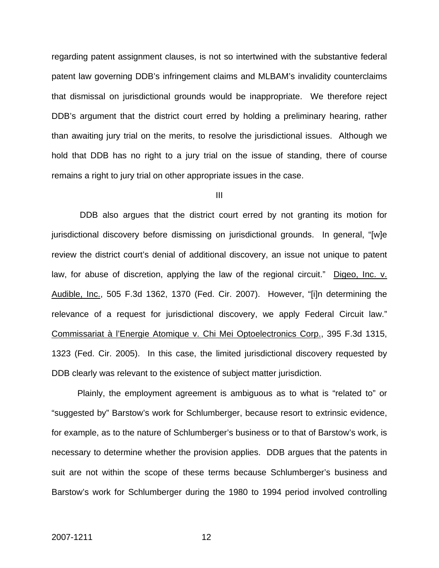regarding patent assignment clauses, is not so intertwined with the substantive federal patent law governing DDB's infringement claims and MLBAM's invalidity counterclaims that dismissal on jurisdictional grounds would be inappropriate. We therefore reject DDB's argument that the district court erred by holding a preliminary hearing, rather than awaiting jury trial on the merits, to resolve the jurisdictional issues. Although we hold that DDB has no right to a jury trial on the issue of standing, there of course remains a right to jury trial on other appropriate issues in the case.

III

 DDB also argues that the district court erred by not granting its motion for jurisdictional discovery before dismissing on jurisdictional grounds. In general, "[w]e review the district court's denial of additional discovery, an issue not unique to patent law, for abuse of discretion, applying the law of the regional circuit." Digeo, Inc. v. Audible, Inc., 505 F.3d 1362, 1370 (Fed. Cir. 2007). However, "[i]n determining the relevance of a request for jurisdictional discovery, we apply Federal Circuit law." Commissariat à l'Energie Atomique v. Chi Mei Optoelectronics Corp., 395 F.3d 1315, 1323 (Fed. Cir. 2005). In this case, the limited jurisdictional discovery requested by DDB clearly was relevant to the existence of subject matter jurisdiction.

 Plainly, the employment agreement is ambiguous as to what is "related to" or "suggested by" Barstow's work for Schlumberger, because resort to extrinsic evidence, for example, as to the nature of Schlumberger's business or to that of Barstow's work, is necessary to determine whether the provision applies. DDB argues that the patents in suit are not within the scope of these terms because Schlumberger's business and Barstow's work for Schlumberger during the 1980 to 1994 period involved controlling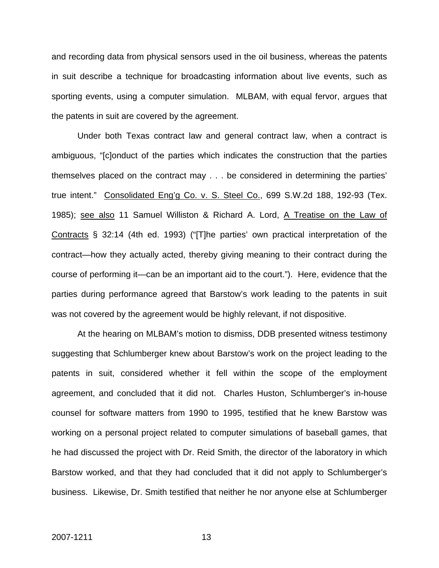and recording data from physical sensors used in the oil business, whereas the patents in suit describe a technique for broadcasting information about live events, such as sporting events, using a computer simulation. MLBAM, with equal fervor, argues that the patents in suit are covered by the agreement.

 Under both Texas contract law and general contract law, when a contract is ambiguous, "[c]onduct of the parties which indicates the construction that the parties themselves placed on the contract may . . . be considered in determining the parties' true intent." Consolidated Eng'g Co. v. S. Steel Co., 699 S.W.2d 188, 192-93 (Tex. 1985); see also 11 Samuel Williston & Richard A. Lord, A Treatise on the Law of Contracts § 32:14 (4th ed. 1993) ("[T]he parties' own practical interpretation of the contract—how they actually acted, thereby giving meaning to their contract during the course of performing it—can be an important aid to the court."). Here, evidence that the parties during performance agreed that Barstow's work leading to the patents in suit was not covered by the agreement would be highly relevant, if not dispositive.

 At the hearing on MLBAM's motion to dismiss, DDB presented witness testimony suggesting that Schlumberger knew about Barstow's work on the project leading to the patents in suit, considered whether it fell within the scope of the employment agreement, and concluded that it did not. Charles Huston, Schlumberger's in-house counsel for software matters from 1990 to 1995, testified that he knew Barstow was working on a personal project related to computer simulations of baseball games, that he had discussed the project with Dr. Reid Smith, the director of the laboratory in which Barstow worked, and that they had concluded that it did not apply to Schlumberger's business. Likewise, Dr. Smith testified that neither he nor anyone else at Schlumberger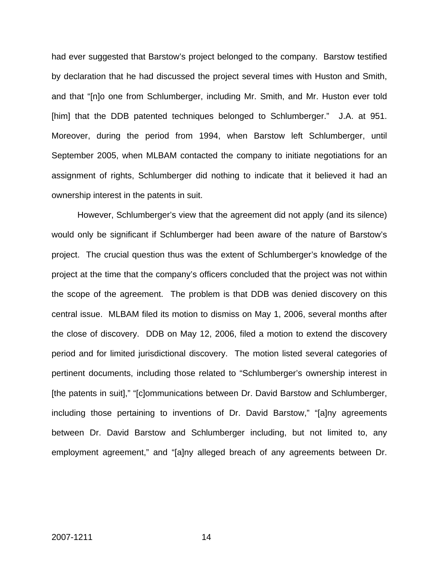had ever suggested that Barstow's project belonged to the company. Barstow testified by declaration that he had discussed the project several times with Huston and Smith, and that "[n]o one from Schlumberger, including Mr. Smith, and Mr. Huston ever told [him] that the DDB patented techniques belonged to Schlumberger." J.A. at 951. Moreover, during the period from 1994, when Barstow left Schlumberger, until September 2005, when MLBAM contacted the company to initiate negotiations for an assignment of rights, Schlumberger did nothing to indicate that it believed it had an ownership interest in the patents in suit.

 However, Schlumberger's view that the agreement did not apply (and its silence) would only be significant if Schlumberger had been aware of the nature of Barstow's project. The crucial question thus was the extent of Schlumberger's knowledge of the project at the time that the company's officers concluded that the project was not within the scope of the agreement. The problem is that DDB was denied discovery on this central issue. MLBAM filed its motion to dismiss on May 1, 2006, several months after the close of discovery. DDB on May 12, 2006, filed a motion to extend the discovery period and for limited jurisdictional discovery. The motion listed several categories of pertinent documents, including those related to "Schlumberger's ownership interest in [the patents in suit]," "[c]ommunications between Dr. David Barstow and Schlumberger, including those pertaining to inventions of Dr. David Barstow," "[a]ny agreements between Dr. David Barstow and Schlumberger including, but not limited to, any employment agreement," and "[a]ny alleged breach of any agreements between Dr.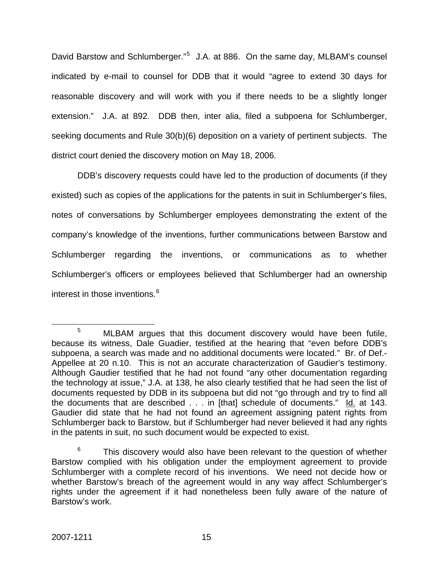David Barstow and Schlumberger."<sup>[5](#page-15-0)</sup> J.A. at 886. On the same day, MLBAM's counsel indicated by e-mail to counsel for DDB that it would "agree to extend 30 days for reasonable discovery and will work with you if there needs to be a slightly longer extension." J.A. at 892. DDB then, inter alia, filed a subpoena for Schlumberger, seeking documents and Rule 30(b)(6) deposition on a variety of pertinent subjects. The district court denied the discovery motion on May 18, 2006.

 DDB's discovery requests could have led to the production of documents (if they existed) such as copies of the applications for the patents in suit in Schlumberger's files, notes of conversations by Schlumberger employees demonstrating the extent of the company's knowledge of the inventions, further communications between Barstow and Schlumberger regarding the inventions, or communications as to whether Schlumberger's officers or employees believed that Schlumberger had an ownership interest in those inventions.<sup>[6](#page-15-1)</sup>

<span id="page-15-0"></span> $\frac{1}{5}$ <sup>5</sup> MLBAM argues that this document discovery would have been futile, because its witness, Dale Guadier, testified at the hearing that "even before DDB's subpoena, a search was made and no additional documents were located." Br. of Def.- Appellee at 20 n.10. This is not an accurate characterization of Gaudier's testimony. Although Gaudier testified that he had not found "any other documentation regarding the technology at issue," J.A. at 138, he also clearly testified that he had seen the list of documents requested by DDB in its subpoena but did not "go through and try to find all the documents that are described . . . in [that] schedule of documents." Id. at 143. Gaudier did state that he had not found an agreement assigning patent rights from Schlumberger back to Barstow, but if Schlumberger had never believed it had any rights in the patents in suit, no such document would be expected to exist.

<span id="page-15-1"></span><sup>6</sup> This discovery would also have been relevant to the question of whether Barstow complied with his obligation under the employment agreement to provide Schlumberger with a complete record of his inventions. We need not decide how or whether Barstow's breach of the agreement would in any way affect Schlumberger's rights under the agreement if it had nonetheless been fully aware of the nature of Barstow's work.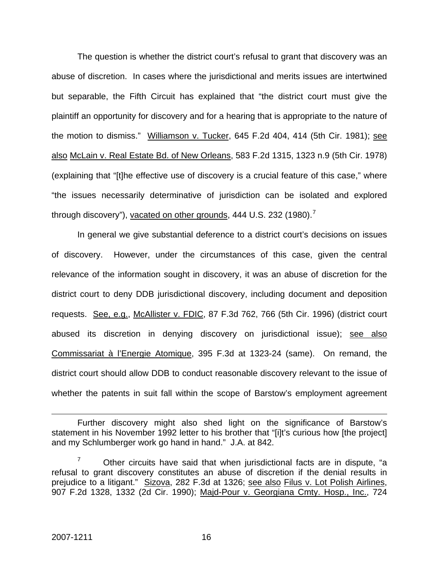The question is whether the district court's refusal to grant that discovery was an abuse of discretion. In cases where the jurisdictional and merits issues are intertwined but separable, the Fifth Circuit has explained that "the district court must give the plaintiff an opportunity for discovery and for a hearing that is appropriate to the nature of the motion to dismiss." Williamson v. Tucker, 645 F.2d 404, 414 (5th Cir. 1981); see also McLain v. Real Estate Bd. of New Orleans, 583 F.2d 1315, 1323 n.9 (5th Cir. 1978) (explaining that "[t]he effective use of discovery is a crucial feature of this case," where "the issues necessarily determinative of jurisdiction can be isolated and explored through discovery"), vacated on other grounds,  $444$  U.S. 232 (1980).<sup>[7](#page-16-0)</sup>

 In general we give substantial deference to a district court's decisions on issues of discovery. However, under the circumstances of this case, given the central relevance of the information sought in discovery, it was an abuse of discretion for the district court to deny DDB jurisdictional discovery, including document and deposition requests. See, e.g., McAllister v. FDIC, 87 F.3d 762, 766 (5th Cir. 1996) (district court abused its discretion in denying discovery on jurisdictional issue); see also Commissariat à l'Energie Atomique, 395 F.3d at 1323-24 (same). On remand, the district court should allow DDB to conduct reasonable discovery relevant to the issue of whether the patents in suit fall within the scope of Barstow's employment agreement

 $\overline{a}$ 

Further discovery might also shed light on the significance of Barstow's statement in his November 1992 letter to his brother that "[i]t's curious how [the project] and my Schlumberger work go hand in hand." J.A. at 842.

<span id="page-16-0"></span><sup>7</sup> Other circuits have said that when jurisdictional facts are in dispute, "a refusal to grant discovery constitutes an abuse of discretion if the denial results in prejudice to a litigant." Sizova, 282 F.3d at 1326; see also Filus v. Lot Polish Airlines, 907 F.2d 1328, 1332 (2d Cir. 1990); Majd-Pour v. Georgiana Cmty. Hosp., Inc., 724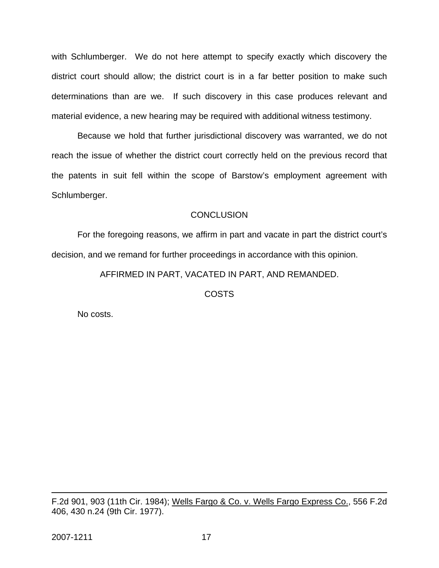with Schlumberger. We do not here attempt to specify exactly which discovery the district court should allow; the district court is in a far better position to make such determinations than are we. If such discovery in this case produces relevant and material evidence, a new hearing may be required with additional witness testimony.

 Because we hold that further jurisdictional discovery was warranted, we do not reach the issue of whether the district court correctly held on the previous record that the patents in suit fell within the scope of Barstow's employment agreement with Schlumberger.

## **CONCLUSION**

 For the foregoing reasons, we affirm in part and vacate in part the district court's decision, and we remand for further proceedings in accordance with this opinion.

AFFIRMED IN PART, VACATED IN PART, AND REMANDED.

COSTS

No costs.

F.2d 901, 903 (11th Cir. 1984); Wells Fargo & Co. v. Wells Fargo Express Co., 556 F.2d 406, 430 n.24 (9th Cir. 1977).

 $\overline{a}$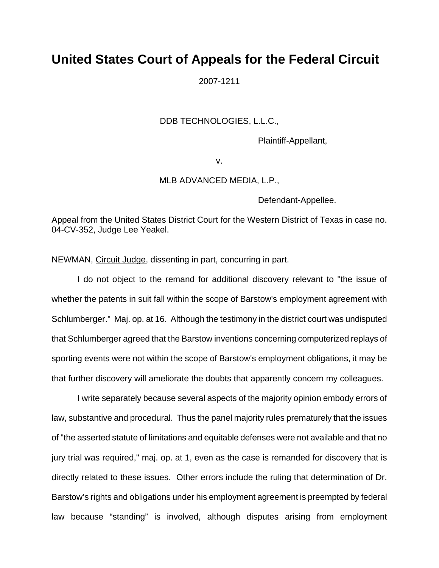# **United States Court of Appeals for the Federal Circuit**

2007-1211

### DDB TECHNOLOGIES, L.L.C.,

Plaintiff-Appellant,

v.

### MLB ADVANCED MEDIA, L.P.,

Defendant-Appellee.

Appeal from the United States District Court for the Western District of Texas in case no. 04-CV-352, Judge Lee Yeakel.

NEWMAN, Circuit Judge, dissenting in part, concurring in part.

I do not object to the remand for additional discovery relevant to "the issue of whether the patents in suit fall within the scope of Barstow's employment agreement with Schlumberger." Maj. op. at 16. Although the testimony in the district court was undisputed that Schlumberger agreed that the Barstow inventions concerning computerized replays of sporting events were not within the scope of Barstow's employment obligations, it may be that further discovery will ameliorate the doubts that apparently concern my colleagues.

I write separately because several aspects of the majority opinion embody errors of law, substantive and procedural. Thus the panel majority rules prematurely that the issues of "the asserted statute of limitations and equitable defenses were not available and that no jury trial was required," maj. op. at 1, even as the case is remanded for discovery that is directly related to these issues. Other errors include the ruling that determination of Dr. Barstow's rights and obligations under his employment agreement is preempted by federal law because "standing" is involved, although disputes arising from employment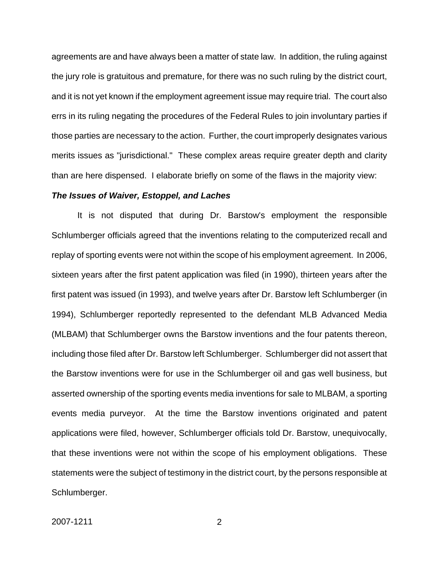agreements are and have always been a matter of state law. In addition, the ruling against the jury role is gratuitous and premature, for there was no such ruling by the district court, and it is not yet known if the employment agreement issue may require trial. The court also errs in its ruling negating the procedures of the Federal Rules to join involuntary parties if those parties are necessary to the action. Further, the court improperly designates various merits issues as "jurisdictional." These complex areas require greater depth and clarity than are here dispensed. I elaborate briefly on some of the flaws in the majority view:

### *The Issues of Waiver, Estoppel, and Laches*

It is not disputed that during Dr. Barstow's employment the responsible Schlumberger officials agreed that the inventions relating to the computerized recall and replay of sporting events were not within the scope of his employment agreement. In 2006, sixteen years after the first patent application was filed (in 1990), thirteen years after the first patent was issued (in 1993), and twelve years after Dr. Barstow left Schlumberger (in 1994), Schlumberger reportedly represented to the defendant MLB Advanced Media (MLBAM) that Schlumberger owns the Barstow inventions and the four patents thereon, including those filed after Dr. Barstow left Schlumberger. Schlumberger did not assert that the Barstow inventions were for use in the Schlumberger oil and gas well business, but asserted ownership of the sporting events media inventions for sale to MLBAM, a sporting events media purveyor. At the time the Barstow inventions originated and patent applications were filed, however, Schlumberger officials told Dr. Barstow, unequivocally, that these inventions were not within the scope of his employment obligations. These statements were the subject of testimony in the district court, by the persons responsible at Schlumberger.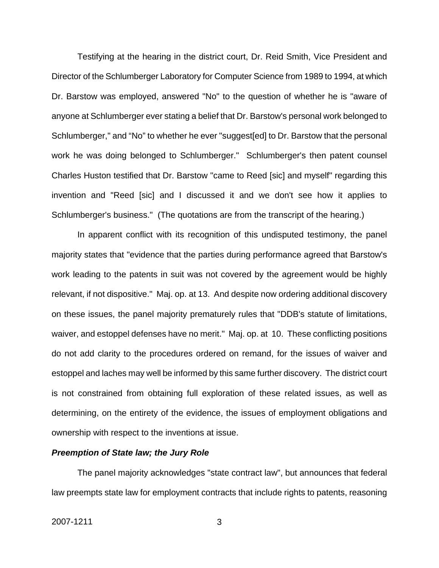Testifying at the hearing in the district court, Dr. Reid Smith, Vice President and Director of the Schlumberger Laboratory for Computer Science from 1989 to 1994, at which Dr. Barstow was employed, answered "No" to the question of whether he is "aware of anyone at Schlumberger ever stating a belief that Dr. Barstow's personal work belonged to Schlumberger," and "No" to whether he ever "suggest[ed] to Dr. Barstow that the personal work he was doing belonged to Schlumberger." Schlumberger's then patent counsel Charles Huston testified that Dr. Barstow "came to Reed [sic] and myself" regarding this invention and "Reed [sic] and I discussed it and we don't see how it applies to Schlumberger's business." (The quotations are from the transcript of the hearing.)

 In apparent conflict with its recognition of this undisputed testimony, the panel majority states that "evidence that the parties during performance agreed that Barstow's work leading to the patents in suit was not covered by the agreement would be highly relevant, if not dispositive." Maj. op. at 13. And despite now ordering additional discovery on these issues, the panel majority prematurely rules that "DDB's statute of limitations, waiver, and estoppel defenses have no merit." Maj. op. at 10. These conflicting positions do not add clarity to the procedures ordered on remand, for the issues of waiver and estoppel and laches may well be informed by this same further discovery. The district court is not constrained from obtaining full exploration of these related issues, as well as determining, on the entirety of the evidence, the issues of employment obligations and ownership with respect to the inventions at issue.

### *Preemption of State law; the Jury Role*

The panel majority acknowledges "state contract law", but announces that federal law preempts state law for employment contracts that include rights to patents, reasoning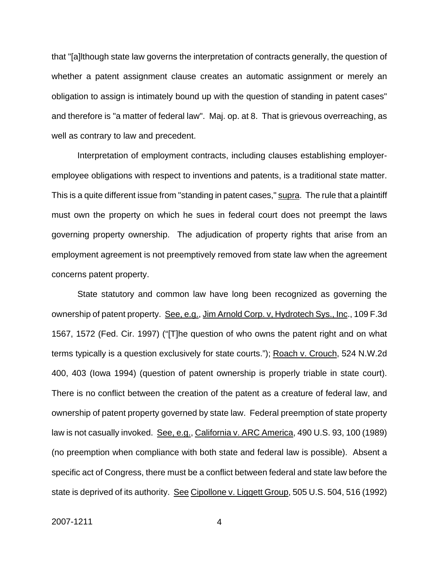that "[a]lthough state law governs the interpretation of contracts generally, the question of whether a patent assignment clause creates an automatic assignment or merely an obligation to assign is intimately bound up with the question of standing in patent cases" and therefore is "a matter of federal law". Maj. op. at 8. That is grievous overreaching, as well as contrary to law and precedent.

Interpretation of employment contracts, including clauses establishing employeremployee obligations with respect to inventions and patents, is a traditional state matter. This is a quite different issue from "standing in patent cases," supra. The rule that a plaintiff must own the property on which he sues in federal court does not preempt the laws governing property ownership. The adjudication of property rights that arise from an employment agreement is not preemptively removed from state law when the agreement concerns patent property.

State statutory and common law have long been recognized as governing the ownership of patent property. See, e.g., Jim Arnold Corp. v, Hydrotech Sys., Inc., 109 F.3d 1567, 1572 (Fed. Cir. 1997) ("[T]he question of who owns the patent right and on what terms typically is a question exclusively for state courts."); Roach v. Crouch, 524 N.W.2d 400, 403 (Iowa 1994) (question of patent ownership is properly triable in state court). There is no conflict between the creation of the patent as a creature of federal law, and ownership of patent property governed by state law. Federal preemption of state property law is not casually invoked. See, e.g., California v. ARC America, 490 U.S. 93, 100 (1989) (no preemption when compliance with both state and federal law is possible). Absent a specific act of Congress, there must be a conflict between federal and state law before the state is deprived of its authority. See Cipollone v. Liggett Group, 505 U.S. 504, 516 (1992)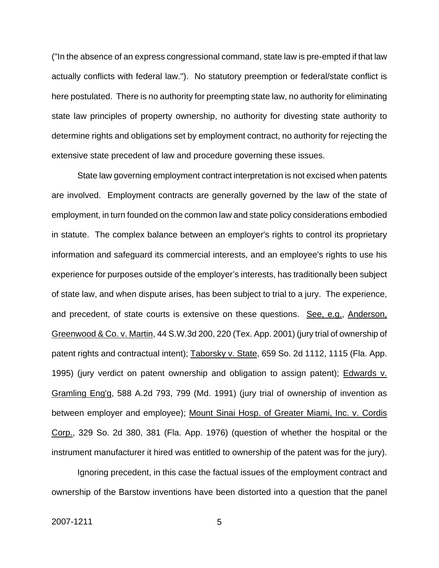("In the absence of an express congressional command, state law is pre-empted if that law actually conflicts with federal law."). No statutory preemption or federal/state conflict is here postulated. There is no authority for preempting state law, no authority for eliminating state law principles of property ownership, no authority for divesting state authority to determine rights and obligations set by employment contract, no authority for rejecting the extensive state precedent of law and procedure governing these issues.

State law governing employment contract interpretation is not excised when patents are involved. Employment contracts are generally governed by the law of the state of employment, in turn founded on the common law and state policy considerations embodied in statute. The complex balance between an employer's rights to control its proprietary information and safeguard its commercial interests, and an employee's rights to use his experience for purposes outside of the employer's interests, has traditionally been subject of state law, and when dispute arises, has been subject to trial to a jury. The experience, and precedent, of state courts is extensive on these questions. See, e.g., Anderson, Greenwood & Co. v. Martin, 44 S.W.3d 200, 220 (Tex. App. 2001) (jury trial of ownership of patent rights and contractual intent); Taborsky v. State, 659 So. 2d 1112, 1115 (Fla. App. 1995) (jury verdict on patent ownership and obligation to assign patent); Edwards v. Gramling Eng'g, 588 A.2d 793, 799 (Md. 1991) (jury trial of ownership of invention as between employer and employee); Mount Sinai Hosp. of Greater Miami, Inc. v. Cordis Corp., 329 So. 2d 380, 381 (Fla. App. 1976) (question of whether the hospital or the instrument manufacturer it hired was entitled to ownership of the patent was for the jury).

Ignoring precedent, in this case the factual issues of the employment contract and ownership of the Barstow inventions have been distorted into a question that the panel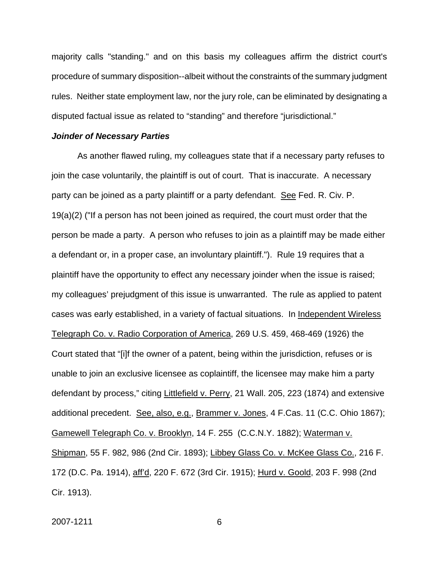majority calls "standing." and on this basis my colleagues affirm the district court's procedure of summary disposition--albeit without the constraints of the summary judgment rules. Neither state employment law, nor the jury role, can be eliminated by designating a disputed factual issue as related to "standing" and therefore "jurisdictional."

#### *Joinder of Necessary Parties*

As another flawed ruling, my colleagues state that if a necessary party refuses to join the case voluntarily, the plaintiff is out of court. That is inaccurate. A necessary party can be joined as a party plaintiff or a party defendant. See Fed. R. Civ. P. 19(a)(2) ("If a person has not been joined as required, the court must order that the person be made a party. A person who refuses to join as a plaintiff may be made either a defendant or, in a proper case, an involuntary plaintiff."). Rule 19 requires that a plaintiff have the opportunity to effect any necessary joinder when the issue is raised; my colleagues' prejudgment of this issue is unwarranted. The rule as applied to patent cases was early established, in a variety of factual situations. In Independent Wireless Telegraph Co. v. Radio Corporation of America, 269 U.S. 459, 468-469 (1926) the Court stated that "[i]f the owner of a patent, being within the jurisdiction, refuses or is unable to join an exclusive licensee as coplaintiff, the licensee may make him a party defendant by process," citing Littlefield v. Perry, 21 Wall. 205, 223 (1874) and extensive additional precedent. See, also, e.g., Brammer v. Jones, 4 F.Cas. 11 (C.C. Ohio 1867); Gamewell Telegraph Co. v. Brooklyn, 14 F. 255 (C.C.N.Y. 1882); Waterman v. Shipman, 55 F. 982, 986 (2nd Cir. 1893); Libbey Glass Co. v. McKee Glass Co., 216 F. 172 (D.C. Pa. 1914), aff'd, 220 F. 672 (3rd Cir. 1915); Hurd v. Goold, 203 F. 998 (2nd Cir. 1913).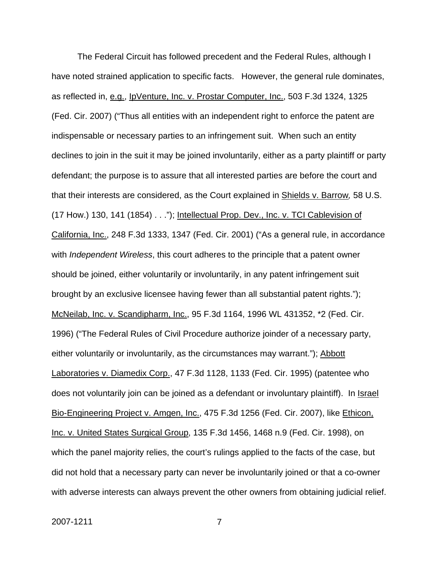The Federal Circuit has followed precedent and the Federal Rules, although I have noted strained application to specific facts. However, the general rule dominates, as reflected in, e.g., IpVenture, Inc. v. Prostar Computer, Inc., 503 F.3d 1324, 1325 (Fed. Cir. 2007) ("Thus all entities with an independent right to enforce the patent are indispensable or necessary parties to an infringement suit. When such an entity declines to join in the suit it may be joined involuntarily, either as a party plaintiff or party defendant; the purpose is to assure that all interested parties are before the court and that their interests are considered, as the Court explained in Shields v. Barrow*,* 58 U.S. (17 How.) 130, 141 (1854) . . ."); Intellectual Prop. Dev., Inc. v. TCI Cablevision of California, Inc., 248 F.3d 1333, 1347 (Fed. Cir. 2001) ("As a general rule, in accordance with *Independent Wireless*, this court adheres to the principle that a patent owner should be joined, either voluntarily or involuntarily, in any patent infringement suit brought by an exclusive licensee having fewer than all substantial patent rights."); McNeilab, Inc. v. Scandipharm, Inc., 95 F.3d 1164, 1996 WL 431352, \*2 (Fed. Cir. 1996) ("The Federal Rules of Civil Procedure authorize joinder of a necessary party, either voluntarily or involuntarily, as the circumstances may warrant."); Abbott Laboratories v. Diamedix Corp., 47 F.3d 1128, 1133 (Fed. Cir. 1995) (patentee who does not voluntarily join can be joined as a defendant or involuntary plaintiff). In Israel Bio-Engineering Project v. Amgen, Inc., 475 F.3d 1256 (Fed. Cir. 2007), like Ethicon, Inc. v. United States Surgical Group, 135 F.3d 1456, 1468 n.9 (Fed. Cir. 1998), on which the panel majority relies, the court's rulings applied to the facts of the case, but did not hold that a necessary party can never be involuntarily joined or that a co-owner with adverse interests can always prevent the other owners from obtaining judicial relief.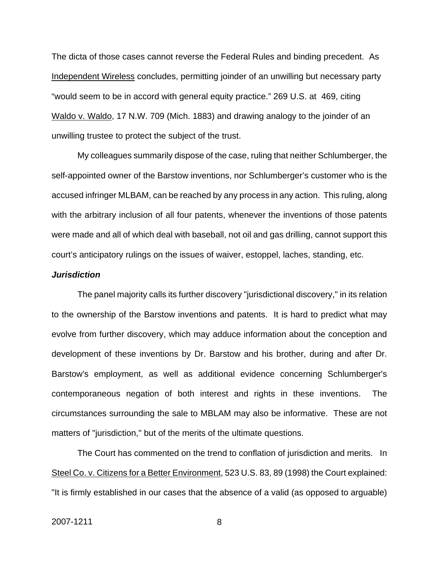The dicta of those cases cannot reverse the Federal Rules and binding precedent. As Independent Wireless concludes, permitting joinder of an unwilling but necessary party "would seem to be in accord with general equity practice." 269 U.S. at 469, citing Waldo v. Waldo, 17 N.W. 709 (Mich. 1883) and drawing analogy to the joinder of an unwilling trustee to protect the subject of the trust.

My colleagues summarily dispose of the case, ruling that neither Schlumberger, the self-appointed owner of the Barstow inventions, nor Schlumberger's customer who is the accused infringer MLBAM, can be reached by any process in any action. This ruling, along with the arbitrary inclusion of all four patents, whenever the inventions of those patents were made and all of which deal with baseball, not oil and gas drilling, cannot support this court's anticipatory rulings on the issues of waiver, estoppel, laches, standing, etc.

### *Jurisdiction*

The panel majority calls its further discovery "jurisdictional discovery," in its relation to the ownership of the Barstow inventions and patents. It is hard to predict what may evolve from further discovery, which may adduce information about the conception and development of these inventions by Dr. Barstow and his brother, during and after Dr. Barstow's employment, as well as additional evidence concerning Schlumberger's contemporaneous negation of both interest and rights in these inventions. The circumstances surrounding the sale to MBLAM may also be informative. These are not matters of "jurisdiction," but of the merits of the ultimate questions.

The Court has commented on the trend to conflation of jurisdiction and merits. In Steel Co. v. Citizens for a Better Environment, 523 U.S. 83, 89 (1998) the Court explained: "It is firmly established in our cases that the absence of a valid (as opposed to arguable)